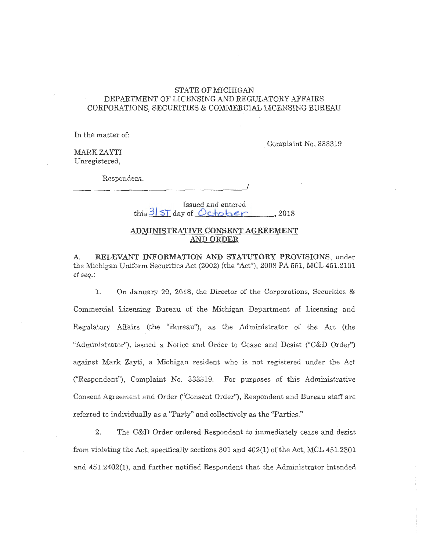#### STATE OF MICHIGAN DEPARTMENT OF LICENSING AND REGULATORY AFFAIRS CORPORATIONS, SECURITIES & COMMERCIAL LICENSING BUREAU

In the matter of:

. Complaint No. 333319

MARK ZAYTI Unregistered,

Respondent.

*\_\_\_\_\_\_\_\_\_\_\_\_\_\_\_\_\_\_\_ .!* 

Issued and entered

this <sup>31</sup>**ST** day of *Q c...+obe r:*  , 2018

#### **ADMINISTRATIVE CONSENT AGREEMENT AND ORDER**

**A. RELEVANT INFORMATION AND STATUTORY PROVISIONS,** under the Michigan Uniform Securities Act (2002) (the "Act"), 2008 PA 551, MCL 451.2101 *et seq.:* 

1. On January 29, 2018, the Director of the Corporations, Securities & Commercial Licensing Bureau of the Michigan Department of Licensing and Regulatory Affairs (the "Bureau"), as the Administrator of the Act (the "Administrator"), issued a Notice and Order to Cease and Desist ("C&D Order") against Mark Zayti, a Michigan resident who is not registered under the Act ("Respondent"), Complaint No. 333319. For purposes of this Administrative Consent Agreement and Order ("Consent Order"), Respondent and Bureau staff are referred to individually as a "Party" and collectively as the "Parties."

2. The C&D Order ordered Respondent to immediately cease and desist from violating the Act, specifically sections 301 and 402(1) of the Act, MCL 451.2301 and 451.2402(1), and further notified Respondent that the Administrator intended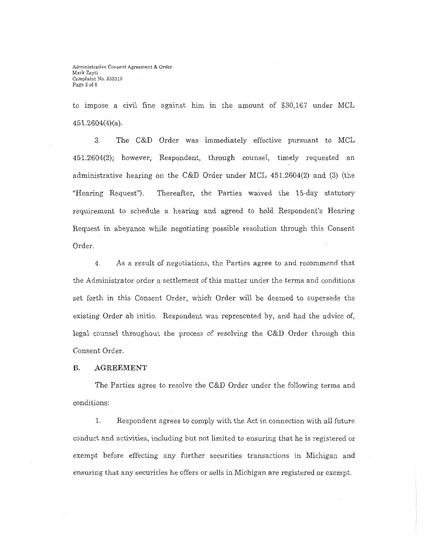to impose a civil fine against him in the amount of \$30,167 under MCL  $451.2604(4)(a)$ .

3. The C&D Order was immediately effective pursuant to MCL 451.2604(2); however, Respondent, through counsel, timely requested an administrative hearing on the C&D Order under MCL 451.2604(2) and (3) (the "Hearing Request"). Thereafter, the Parties waived the 15-day statutory requirement to schedule a hearing and agreed to hold Respondent's Hearing Request in abeyance while negotiating possible resolution through this Consent Order.

4. As a result of negotiations, the Parties agree to and recommend that the Administrator order a settlement of this matter under the terms and conditions set forth in this Consent Order, which Order will be deemed to supersede the existing Order ab initio. Respondent was represented by, and had the advice of, legal counsel throughout the process of resolving the C&D Order through this Consent Order.

#### **B. AGREEMENT**

The Parties agree to resolve the C&D Order under the following terms and conditions:

L Respondent agrees to comply with the Act in connection with all future conduct and activities, including but not limited to ensuring that he is registered or exempt before effecting any further securities transactions in Michigan and ensuring that any securities he offers or sells in Michigan are registered or exempt.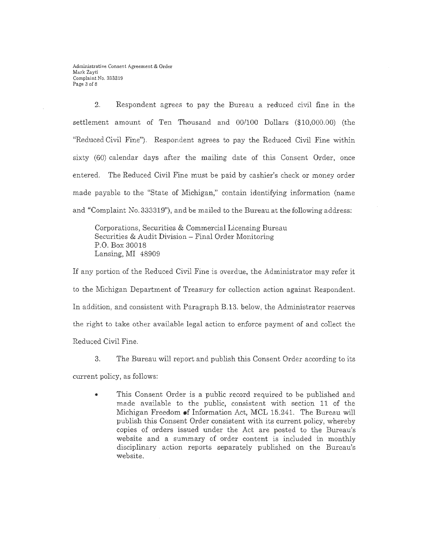2. Respondent agrees to pay the Bureau a reduced civil fine in the settlement amount of Ten Thousand and 00/100 Dollars (\$10,000.00) (the "Reduced Civil Fine"). Respondent agrees to pay the Reduced Civil Fine within sixty (60) calendar days after the mailing date of this Consent Order, once entered. The Reduced Civil Fine must be paid by cashier's check or money order made payable to the "State of Michigan," contain identifying information (name and "Complaint No. 333319"), and be mailed to the Bureau at the following address:

Corporations, Securities & Commercial Licensing Bureau Securities & Audit Division - Final Order Monitoring P.O. Box 30018 Lansing, MI 48909

If any portion of the Reduced Civil Fine is overdue, the Administrator may refer it to the Michigan Department of Treasury for collection action against Respondent. In addition, and consistent with Paragraph B.13. below, the Administrator reserves the right to take other available legal action to enforce payment of and collect the Reduced Civil Fine.

3. The Bureau will report and publish this Consent Order according to its

current policy, as follows:

This Consent Order is a public record required to be published and made available to the public, consistent with section 11 of the Michigan Freedom •f Information Act, MCL 15.241. The Bureau will publish this Consent Order consistent with its current policy, whereby copies of orders issued under the Act are posted to the Bureau's website and a summary of order content is included in monthly disciplinary action reports separately published on the Bureau's website.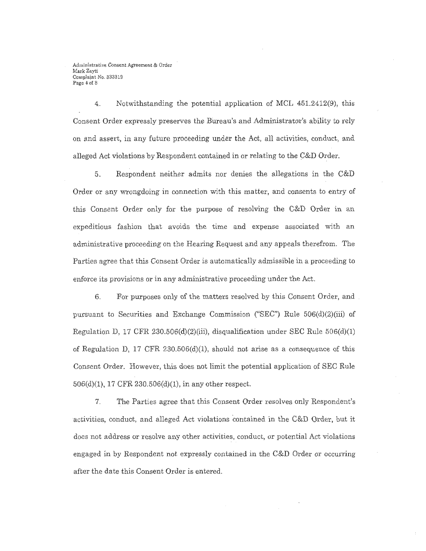Administrative Consent Agreement & Order Mark Zavti Complaint No. 333319 Page 4 of 8

4. Notwithstanding the potential application of MCL 451.2412(9), this Consent Order expressly preserves the Bureau's and Administrator's ability to rely on and assert, in any future proceeding under the Act, all activities, conduct, and alleged Act violations by Respondent contained in or relating to the C&D Order.

5. Respondent neither admits nor denies the allegations in the C&D Order or any wrongdoing in connection with this matter, and consents to entry of this Consent Order only for the purpose of resolving the C&D Order in an expeditious fashion that avoids the time and expense associated with an administrative proceeding on the Hearing Request and any appeals therefrom. The Parties agree that this Consent Order is automatically admissible in a proceeding to enforce its provisions or in any administrative proceeding under the Act.

6. For purposes only of the matters resolved by this Consent Order, and pursuant to Securities and Exchange Commission ("SEC") Rule 506(d)(2)(iii) of Regulation D, 17 CFR 230.506(d)(2)(iii), disqualification under SEC Rule  $506(d)(1)$ of Regulation D, 17 CFR 230.506(d)(1), should not arise as a consequence of this Consent Order. However, this does not limit the potential application of SEC Rule 506(d)(l), 17 CFR 230.506(d)(l), in any other respect.

7. The Parties agree that this Consent Order resolves only Respondent's activities, conduct, and alleged Act violations contained in the C&D Order, but it does not address or resolve any other activities, conduct, or potential Act violations engaged in by Respondent not expressly contained in the C&D Order or occurring after the date this Consent Order is entered.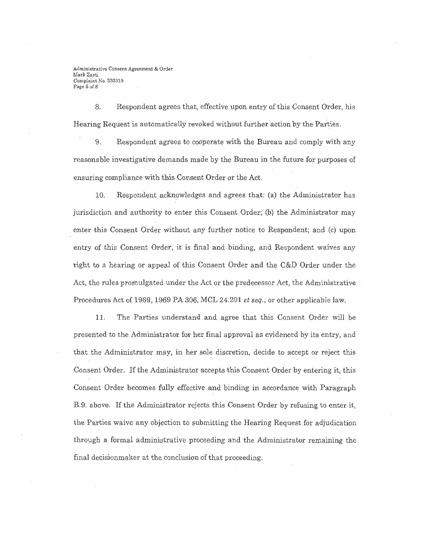Administrative Consent Agreement & Order Mark Zayti Complaint No. 333319 Page 5 of 8

8. Respondent agrees that, effective upon entry of this Consent Order, his Hearing Request is automatically revoked without further action by the Parties.

9. Respondent agrees to cooperate with the Bureau and comply with any reasonable investigative demands made by the Bureau in the future for purposes of ensuring compliance with this Consent Order or the Act.

10. Respondent acknowledges and agrees that: (a) the Administrator has jurisdiction and authority to enter this Consent Order; (b) the Administrator may enter this Consent Order without any further notice to Respondent; and (c) upon entry of this Consent Order, it is final and binding, and Respondent waives any right to a hearing or appeal of this Consent Order and the C&D Order under the Act, the rules promulgated under the Act or the predecessor Act, the Administrative Procedures Act of 1969, 1969 PA 306, MCL 24.201 *et seq.,* or other applicable law.

11. The Parties understand and agree that this Consent Order will be presented to the Administrator for her final approval as evidenced by its entry, and that the Administrator may, in her sole discretion, decide to accept or reject this Consent Order. If the Administrator accepts this Consent Order by entering it, this Consent Order becomes fully effective and binding in accordance with Paragraph B.9. above. If the Administrator rejects this Consent Order by refusing to enter it, the Parties waive any objection to submitting the Hearing Request for adjudication through a formal administrative proceeding and the Administrator remaining the . final decisionmaker at the conclusion of that proceeding.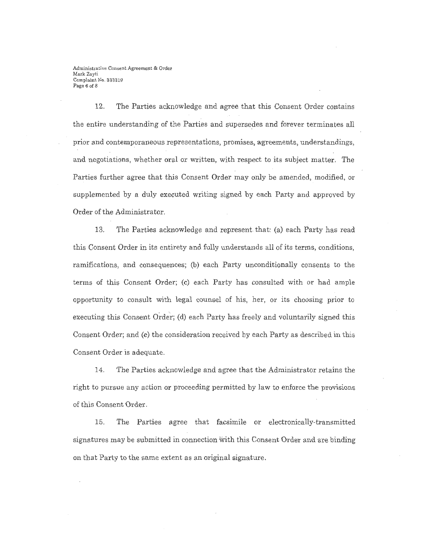Administrative Consent Agreement & Order Mark Zayti Complaint No. 333319 Page 6 of 8

12. The Parties acknowledge and agree that this Consent Order contains the entire understanding of the Parties and supersedes and forever terminates all prior and contemporaneous representations, promises, agreements, understandings, and negotiations, whether oral or written, with respect to its subject matter. The Parties further agree that this Consent Order may only be amended, modified, or supplemented by a duly executed writing signed by each Party and approved by Order of the Administrator.

13. The Parties acknowledge and represent that: (a) each Party has read this Consent Order in its entirety and fully understands all of its terms, conditions, ramifications, and consequences; (b) each Party unconditionally consents to the terms of this Consent Order; (c) each Party has consulted with or had ample opportunity to consult with legal counsel of his, her, or its choosing prior to executing this Consent Order; (d) each Party has freely and voluntarily signed this Consent Order; and (e) the consideration received by each Party as described in this Consent Order is adequate.

14. The Parties acknowledge and agree that the Administrator retains the right to pursue any action or proceeding permitted by law to enforce the provisions of this Consent Order.

15. The Parties agree that facsimile or electronically-transmitted signatures may be submitted in connection with this Consent Order and are binding on that Party to the same extent as an original signature.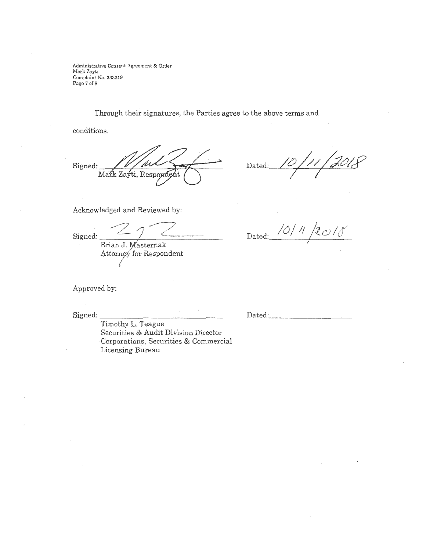Administrative Consent Agreement & Order Mark Zayti Complaint No. 333319 Page 7 of 8

Through their signatures, the Parties agree to the above terms and

conditions.

Signed: Mark Zayti, Respondent

Dated:

Acknowledged and Reviewed by:

-z/7/~-- Signed: -----'-----·- ------ Brian J. Masternak

Attorney for Respondent

Approved by:

Signed:

Timothy L. Teague Securities & Audit Division Director Corporations, Securities & Commercial Licensing Bureau

Dated: 10/11/2018

Dated: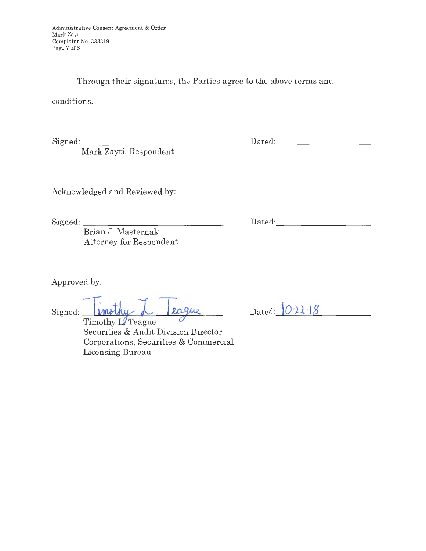Through their signatures, the Parties agree to the above terms and

conditions.

Signed: \_\_\_\_\_\_\_\_\_\_\_\_\_\_ \_

Mark Zayti, Respondent

Dated:

Acknowledged and Reviewed by:

Signed: \_\_\_\_\_\_\_\_\_\_\_\_\_\_ \_

Brian J. Masternak Attorney for Respondent

Approved by:

Signed: **inity L** eague

Securities & Audit Division Director Corporations, Securities & Commercial Licensing Bureau

Dated:  $\left|0.22\right|8$ 

Dated: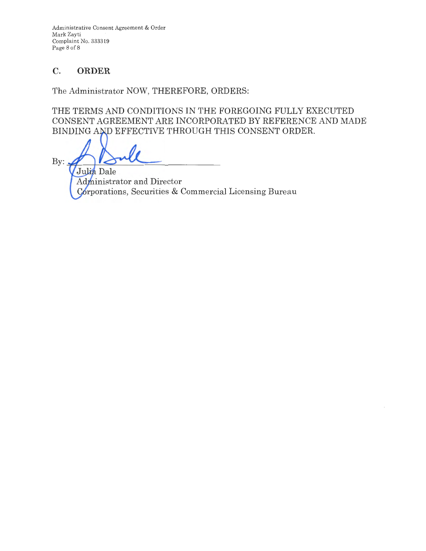Administrative Consent Agreement & Order Mark Zayti Complaint No. 333319 Page 8 of 8

# **C. ORDER**

The Administrator NOW, THEREFORE, ORDERS:

THE TERMS AND CONDITIONS IN THE FOREGOING FULLY EXECUTED CONSENT AGREEMENT ARE INCORPORATED BY REFERENCE AND MADE BINDING AND EFFECTIVE THROUGH THIS CONSENT ORDER.

 $By:$ Julia Dale Administrator and Director Corporations, Securities & Commercial Licensing Bureau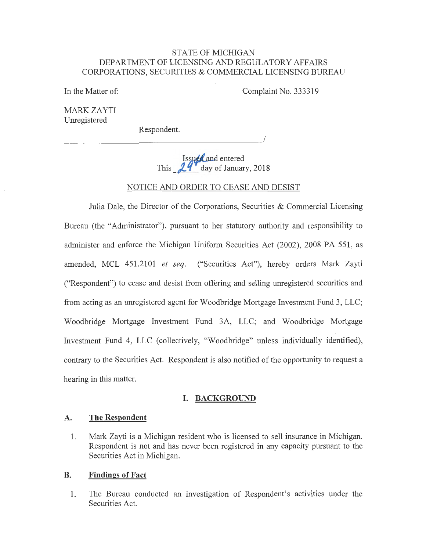#### STATE OF MICHIGAN DEPARTMENT OF LICENSING AND REGULATORY AFFAIRS CORPORATIONS, SECURITIES & COMMERCIAL LICENSING BUREAU

In the Matter of:

Complaint No. 333319

I

MARK ZAYTI Unregistered

Respondent.

Issued and entered<br>This **J...** day of January, 2018

NOTICE AND ORDER TO CEASE AND DESIST

Julia Dale, the Director of the Corporations, Securities  $\&$  Commercial Licensing Bureau (the "Administrator"), pursuant to her statutory authority and responsibility to administer and enforce the Michigan Uniform Securities Act (2002), 2008 PA 551, as amended, MCL 451.2101 *et seq.* ("Securities Act"), hereby orders Mark Zayti ("Respondent") to cease and desist from offering and selling unregistered securities and from acting as an unregistered agent for Woodbridge Mortgage Investment Fund 3, LLC; Woodbridge Mortgage Investment Fund 3A, LLC; and Woodbridge Mortgage Investment Fund 4, LLC (collectively, "Woodbridge" unless individually identified), contrary to the Securities Act. Respondent is also notified of the opportunity to request a hearing in this matter.

## **I. BACKGROUND**

## **A. The Respondent**

1. Mark Zayti is a Michigan resident who is licensed to sell insurance in Michigan. Respondent is not and has never been registered in any capacity pursuant to the Securities Act in Michigan.

## **B. Findings of Fact**

1. The Bureau conducted an investigation of Respondent's activities under the Securities Act.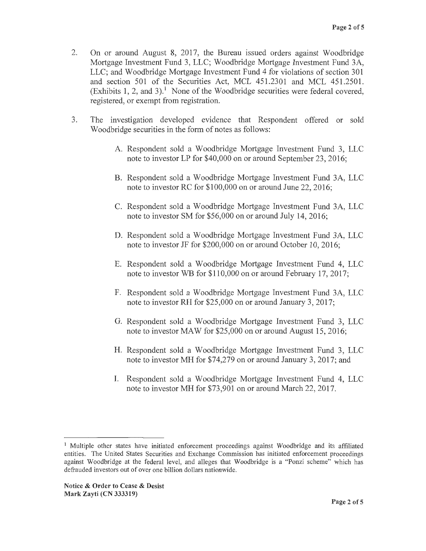- 2. On or around August 8, 2017, the Bureau issued orders against Woodbridge Mortgage Investment Fund 3, LLC; Woodbridge Mortgage Investment Fund 3A, LLC; and Woodbridge Mortgage Investment Fund 4 for violations of section 301 and section 501 of the Securities Act, MCL 451.2301 and MCL 451.2501. (Exhibits 1, 2, and 3).<sup>1</sup> None of the Woodbridge securities were federal covered, registered, or exempt from registration.
- 3. The investigation developed evidence that Respondent offered or sold Woodbridge securities in the form of notes as follows:
	- A. Respondent sold a Woodbridge Mortgage Investment Fund 3, LLC note to investor LP for \$40,000 on or around September 23, 2016;
	- B. Respondent sold a Woodbridge Mortgage Investment Fund 3A, LLC note to investor RC for \$100,000 on or around June 22, 2016;
	- C. Respondent sold a Woodbridge Mortgage Investment Fund 3A, LLC note to investor SM for \$56,000 on or around July 14, 2016;
	- **D.** Respondent sold a Woodbridge Mortgage Investment Fund 3A, LLC note to investor JF for \$200,000 on or around October 10, 2016;
	- E. Respondent sold a Woodbridge Mortgage Investment Fund 4, LLC note to investor WB for \$110,000 on or around February 17, 2017;
	- F. Respondent sold a Woodbridge Mortgage Investment Fund 3A, LLC note to investor RH for \$25,000 on or around January 3, 2017;
	- G. Respondent sold a Woodbridge Mortgage Investment Fund 3, LLC note to investor MAW for \$25,000 on or around August 15, 2016;
	- H. Respondent sold a Woodbridge Mortgage Investment Fund 3, LLC note to investor MH for \$74,279 on or around January 3, 2017; and
	- I. Respondent sold a Woodbridge Mortgage Investment Fund 4, LLC note to investor MH for \$73,901 on or around March 22, 2017.

<sup>&</sup>lt;sup>1</sup> Multiple other states have initiated enforcement proceedings against Woodbridge and its affiliated entities. The United States Securities and Exchange Commission has initiated enforcement proceedings against Woodbridge at the federal level, and alleges that Woodbridge is a "Ponzi scheme" which has defrauded investors out of over one billion dollars nationwide.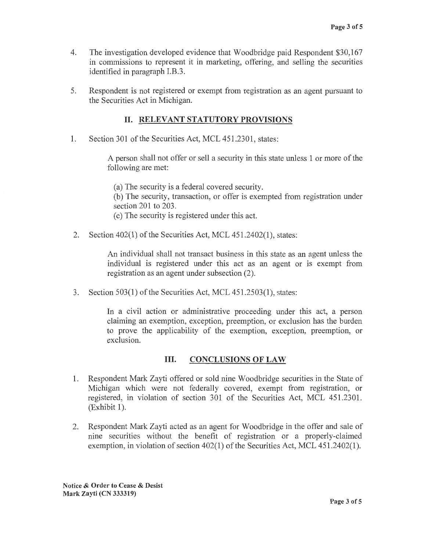- 4. The investigation developed evidence that Woodbridge paid Respondent \$30,167 in commissions to represent it in marketing, offering, and selling the securities identified in paragraph I.B.3.
- 5. Respondent is not registered or exempt from registration as an agent pursuant to the Securities Act in Michigan.

## II. **RELEVANT STATUTORY PROVISIONS**

1. Section 301 of the Securities Act, MCL 451.2301, states:

A person shall not offer or sell a security in this state unless 1 or more of the following are met:

(a) The security is a federal covered security. (b) The security, transaction, or offer is exempted from registration under section 201 to 203. ( c) The security is registered under this act.

2. Section 402(1) of the Securities Act, MCL 451.2402(1), states:

An individual shall not transact business in this state as an agent unless the individual is registered under this act as an agent or is exempt from registration as an agent under subsection (2).

3. Section 503(1) of the Securities Act, MCL 451.2503(1), states:

In a civil action or administrative proceeding under this act, a person claiming an exemption, exception, preemption, or exclusion has the burden to prove the applicability of the exemption, exception, preemption, or exclusion.

# **Ill. CONCLUSIONS OF LAW**

- 1. Respondent Mark Zayti offered or sold nine Woodbridge securities in the State of Michigan which were not federally covered, exempt from registration, or registered, in violation of section 301 of the Securities Act, MCL 451.2301. (Exhibit 1).
- 2. Respondent Mark Zayti acted as an agent for Woodbridge in the offer and sale of nine securities without the benefit of registration or a properly-claimed exemption, in violation of section 402(1) of the Securities Act, MCL 451.2402(1).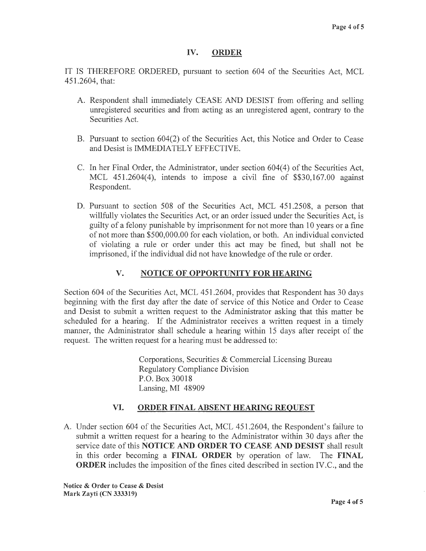## **IV. ORDER**

IT IS THEREFORE ORDERED, pursuant to section 604 of the Securities Act, MCL 451.2604, that:

- A. Respondent shall immediately CEASE AND DESIST from offering and selling unregistered securities and from acting as an unregistered agent, contrary to the Securities Act.
- B. Pursuant to section 604(2) of the Securities Act, this Notice and Order to Cease and Desist is IMMEDIATELY EFFECTIVE.
- C. In her Final Order, the Administrator, under section 604(4) of the Securities Act, MCL 451.2604(4), intends to impose a civil fine of \$\$30,167.00 against Respondent.
- D. Pursuant to section 508 of the Securities Act, MCL 451.2508, a person that willfully violates the Securities Act, or an order issued under the Securities Act, is guilty of a felony punishable by imprisonment for not more than 10 years or a fine of not more than \$500,000.00 for each violation, or both. An individual convicted of violating a rule or order under this act may be fined, but shall not be imprisoned, if the individual did not have knowledge of the rule or order.

# **V. NOTICE OF OPPORTUNITY FOR HEARING**

Section 604 of the Securities Act, MCL 451.2604, provides that Respondent has 30 days beginning with the first day after the date of service of this Notice and Order to Cease and Desist to submit a written request to the Administrator asking that this matter be scheduled for a hearing. If the Administrator receives a written request in a timely manner, the Administrator shall schedule a hearing within 15 days after receipt of the request. The written request for a hearing must be addressed to:

> Corporations, Securities & Commercial Licensing Bureau Regulatory Compliance Division P.O. Box 30018 Lansing, MI 48909

## **VI. ORDER FINAL ABSENT HEARING REQUEST**

A. Under section 604 of the Securities Act, MCL 451.2604, the Respondent's failure to submit a written request for a hearing to the Administrator within 30 days after the service date of this **NOTICE AND ORDER TO CEASE AND DESIST** shall result in this order becoming a **FINAL ORDER** by operation of law. The **FINAL ORDER** includes the imposition of the fines cited described in section IV.C., and the

**Notice** & **Order to Cease** & **Desist Mark Zayti (CN 333319)**